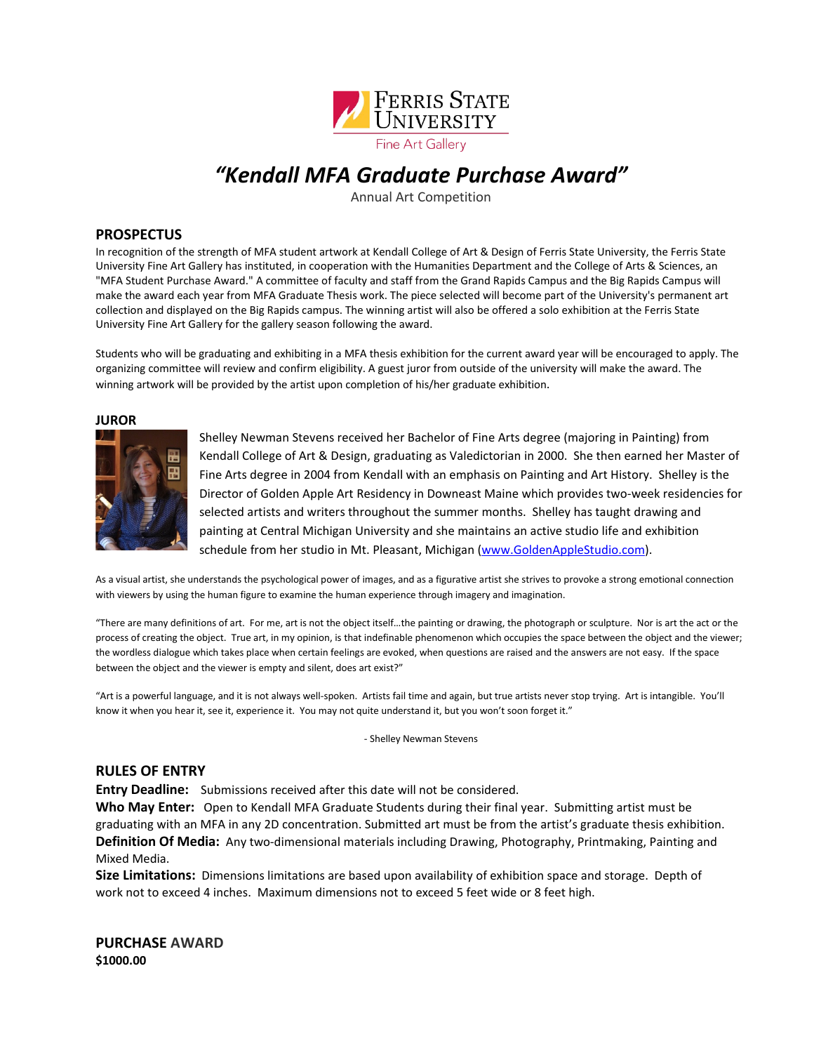

### *"Kendall MFA Graduate Purchase Award"*

Annual Art Competition

#### **PROSPECTUS**

In recognition of the strength of MFA student artwork at Kendall College of Art & Design of Ferris State University, the Ferris State University Fine Art Gallery has instituted, in cooperation with the Humanities Department and the College of Arts & Sciences, an "MFA Student Purchase Award." A committee of faculty and staff from the Grand Rapids Campus and the Big Rapids Campus will make the award each year from MFA Graduate Thesis work. The piece selected will become part of the University's permanent art collection and displayed on the Big Rapids campus. The winning artist will also be offered a solo exhibition at the Ferris State University Fine Art Gallery for the gallery season following the award.

Students who will be graduating and exhibiting in a MFA thesis exhibition for the current award year will be encouraged to apply. The organizing committee will review and confirm eligibility. A guest juror from outside of the university will make the award. The winning artwork will be provided by the artist upon completion of his/her graduate exhibition.

**JUROR**



Shelley Newman Stevens received her Bachelor of Fine Arts degree (majoring in Painting) from Kendall College of Art & Design, graduating as Valedictorian in 2000. She then earned her Master of Fine Arts degree in 2004 from Kendall with an emphasis on Painting and Art History. Shelley is the Director of Golden Apple Art Residency in Downeast Maine which provides two-week residencies for selected artists and writers throughout the summer months. Shelley has taught drawing and painting at Central Michigan University and she maintains an active studio life and exhibition schedule from her studio in Mt. Pleasant, Michigan [\(www.GoldenAppleStudio.com\)](http://www.goldenapplestudio.com/).

As a visual artist, she understands the psychological power of images, and as a figurative artist she strives to provoke a strong emotional connection with viewers by using the human figure to examine the human experience through imagery and imagination.

"There are many definitions of art. For me, art is not the object itself…the painting or drawing, the photograph or sculpture. Nor is art the act or the process of creating the object. True art, in my opinion, is that indefinable phenomenon which occupies the space between the object and the viewer; the wordless dialogue which takes place when certain feelings are evoked, when questions are raised and the answers are not easy. If the space between the object and the viewer is empty and silent, does art exist?"

"Art is a powerful language, and it is not always well-spoken. Artists fail time and again, but true artists never stop trying. Art is intangible. You'll know it when you hear it, see it, experience it. You may not quite understand it, but you won't soon forget it."

- Shelley Newman Stevens

#### **RULES OF ENTRY**

**Entry Deadline:** Submissions received after this date will not be considered.

**Who May Enter:** Open to Kendall MFA Graduate Students during their final year. Submitting artist must be graduating with an MFA in any 2D concentration. Submitted art must be from the artist's graduate thesis exhibition. **Definition Of Media:** Any two-dimensional materials including Drawing, Photography, Printmaking, Painting and Mixed Media.

**Size Limitations:** Dimensions limitations are based upon availability of exhibition space and storage. Depth of work not to exceed 4 inches. Maximum dimensions not to exceed 5 feet wide or 8 feet high.

**PURCHASE AWARD \$1000.00**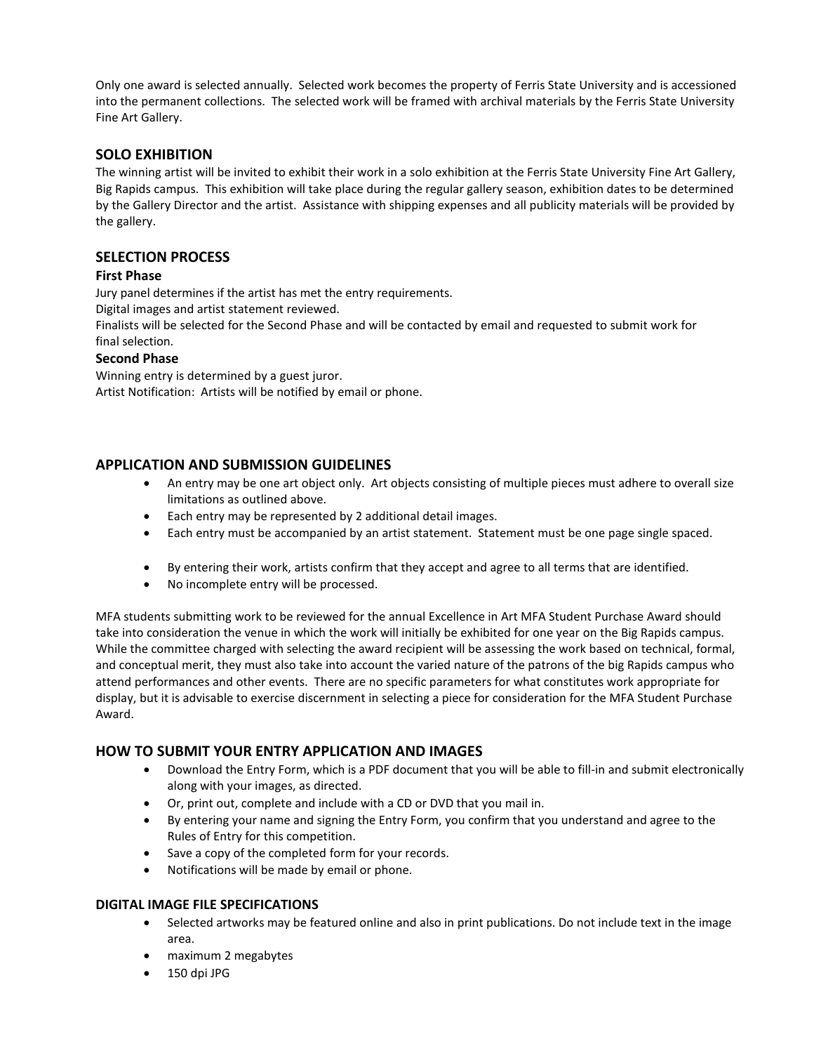Only one award is selected annually. Selected work becomes the property of Ferris State University and is accessioned into the permanent collections. The selected work will be framed with archival materials by the Ferris State University Fine Art Gallery.

#### **SOLO EXHIBITION**

The winning artist will be invited to exhibit their work in a solo exhibition at the Ferris State University Fine Art Gallery, Big Rapids campus. This exhibition will take place during the regular gallery season, exhibition dates to be determined by the Gallery Director and the artist. Assistance with shipping expenses and all publicity materials will be provided by the gallery.

#### **SELECTION PROCESS**

#### **First Phase**

Jury panel determines if the artist has met the entry requirements.

Digital images and artist statement reviewed.

Finalists will be selected for the Second Phase and will be contacted by email and requested to submit work for final selection.

#### **Second Phase**

Winning entry is determined by a guest juror. Artist Notification: Artists will be notified by email or phone.

#### **APPLICATION AND SUBMISSION GUIDELINES**

- An entry may be one art object only. Art objects consisting of multiple pieces must adhere to overall size limitations as outlined above.
- Each entry may be represented by 2 additional detail images.
- Each entry must be accompanied by an artist statement. Statement must be one page single spaced.
- By entering their work, artists confirm that they accept and agree to all terms that are identified.
- No incomplete entry will be processed.

MFA students submitting work to be reviewed for the annual Excellence in Art MFA Student Purchase Award should take into consideration the venue in which the work will initially be exhibited for one year on the Big Rapids campus. While the committee charged with selecting the award recipient will be assessing the work based on technical, formal, and conceptual merit, they must also take into account the varied nature of the patrons of the big Rapids campus who attend performances and other events. There are no specific parameters for what constitutes work appropriate for display, but it is advisable to exercise discernment in selecting a piece for consideration for the MFA Student Purchase Award.

#### **HOW TO SUBMIT YOUR ENTRY APPLICATION AND IMAGES**

- Download the Entry Form, which is a PDF document that you will be able to fill-in and submit electronically along with your images, as directed.
- Or, print out, complete and include with a CD or DVD that you mail in.
- By entering your name and signing the Entry Form, you confirm that you understand and agree to the Rules of Entry for this competition.
- Save a copy of the completed form for your records.
- Notifications will be made by email or phone.

#### **DIGITAL IMAGE FILE SPECIFICATIONS**

- Selected artworks may be featured online and also in print publications. Do not include text in the image area.
- maximum 2 megabytes
- 150 dpi JPG